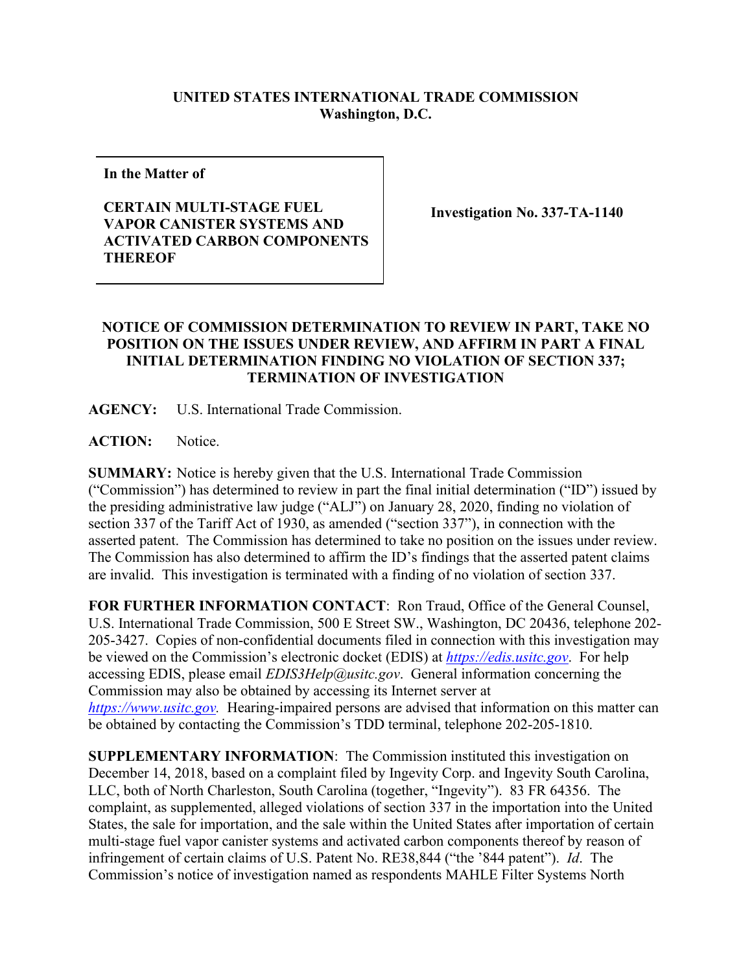## **UNITED STATES INTERNATIONAL TRADE COMMISSION Washington, D.C.**

**In the Matter of**

## **CERTAIN MULTI-STAGE FUEL VAPOR CANISTER SYSTEMS AND ACTIVATED CARBON COMPONENTS THEREOF**

**Investigation No. 337-TA-1140**

## **NOTICE OF COMMISSION DETERMINATION TO REVIEW IN PART, TAKE NO POSITION ON THE ISSUES UNDER REVIEW, AND AFFIRM IN PART A FINAL INITIAL DETERMINATION FINDING NO VIOLATION OF SECTION 337; TERMINATION OF INVESTIGATION**

**AGENCY:** U.S. International Trade Commission.

**ACTION:** Notice.

**SUMMARY:** Notice is hereby given that the U.S. International Trade Commission ("Commission") has determined to review in part the final initial determination ("ID") issued by the presiding administrative law judge ("ALJ") on January 28, 2020, finding no violation of section 337 of the Tariff Act of 1930, as amended ("section 337"), in connection with the asserted patent. The Commission has determined to take no position on the issues under review. The Commission has also determined to affirm the ID's findings that the asserted patent claims are invalid. This investigation is terminated with a finding of no violation of section 337.

**FOR FURTHER INFORMATION CONTACT**: Ron Traud, Office of the General Counsel, U.S. International Trade Commission, 500 E Street SW., Washington, DC 20436, telephone 202- 205-3427. Copies of non-confidential documents filed in connection with this investigation may be viewed on the Commission's electronic docket (EDIS) at *[https://edis.usitc.gov](https://edis.usitc.gov/)*. For help accessing EDIS, please email *EDIS3Help@usitc.gov*. General information concerning the Commission may also be obtained by accessing its Internet server at *[https://www.usitc.gov.](https://www.usitc.gov/)* Hearing-impaired persons are advised that information on this matter can be obtained by contacting the Commission's TDD terminal, telephone 202-205-1810.

**SUPPLEMENTARY INFORMATION**: The Commission instituted this investigation on December 14, 2018, based on a complaint filed by Ingevity Corp. and Ingevity South Carolina, LLC, both of North Charleston, South Carolina (together, "Ingevity"). 83 FR 64356. The complaint, as supplemented, alleged violations of section 337 in the importation into the United States, the sale for importation, and the sale within the United States after importation of certain multi-stage fuel vapor canister systems and activated carbon components thereof by reason of infringement of certain claims of U.S. Patent No. RE38,844 ("the '844 patent"). *Id*. The Commission's notice of investigation named as respondents MAHLE Filter Systems North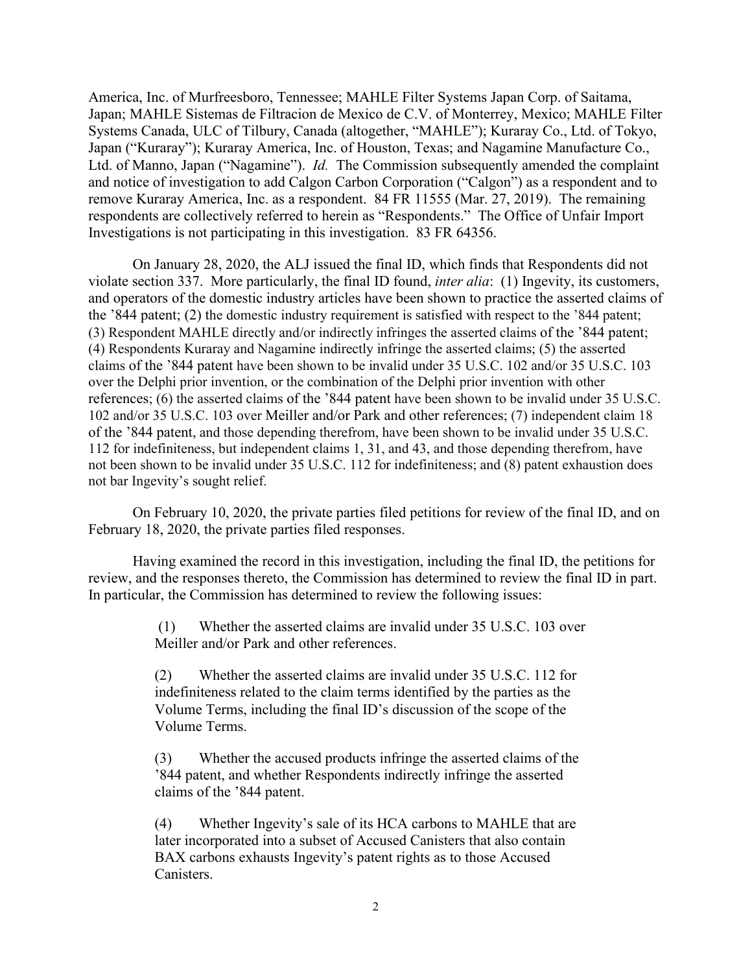America, Inc. of Murfreesboro, Tennessee; MAHLE Filter Systems Japan Corp. of Saitama, Japan; MAHLE Sistemas de Filtracion de Mexico de C.V. of Monterrey, Mexico; MAHLE Filter Systems Canada, ULC of Tilbury, Canada (altogether, "MAHLE"); Kuraray Co., Ltd. of Tokyo, Japan ("Kuraray"); Kuraray America, Inc. of Houston, Texas; and Nagamine Manufacture Co., Ltd. of Manno, Japan ("Nagamine"). *Id.* The Commission subsequently amended the complaint and notice of investigation to add Calgon Carbon Corporation ("Calgon") as a respondent and to remove Kuraray America, Inc. as a respondent. 84 FR 11555 (Mar. 27, 2019). The remaining respondents are collectively referred to herein as "Respondents." The Office of Unfair Import Investigations is not participating in this investigation. 83 FR 64356.

On January 28, 2020, the ALJ issued the final ID, which finds that Respondents did not violate section 337. More particularly, the final ID found, *inter alia*: (1) Ingevity, its customers, and operators of the domestic industry articles have been shown to practice the asserted claims of the '844 patent; (2) the domestic industry requirement is satisfied with respect to the '844 patent; (3) Respondent MAHLE directly and/or indirectly infringes the asserted claims of the '844 patent; (4) Respondents Kuraray and Nagamine indirectly infringe the asserted claims; (5) the asserted claims of the '844 patent have been shown to be invalid under 35 U.S.C. 102 and/or 35 U.S.C. 103 over the Delphi prior invention, or the combination of the Delphi prior invention with other references; (6) the asserted claims of the '844 patent have been shown to be invalid under 35 U.S.C. 102 and/or 35 U.S.C. 103 over Meiller and/or Park and other references; (7) independent claim 18 of the '844 patent, and those depending therefrom, have been shown to be invalid under 35 U.S.C. 112 for indefiniteness, but independent claims 1, 31, and 43, and those depending therefrom, have not been shown to be invalid under 35 U.S.C. 112 for indefiniteness; and (8) patent exhaustion does not bar Ingevity's sought relief.

On February 10, 2020, the private parties filed petitions for review of the final ID, and on February 18, 2020, the private parties filed responses.

Having examined the record in this investigation, including the final ID, the petitions for review, and the responses thereto, the Commission has determined to review the final ID in part. In particular, the Commission has determined to review the following issues:

> (1) Whether the asserted claims are invalid under 35 U.S.C. 103 over Meiller and/or Park and other references.

(2) Whether the asserted claims are invalid under 35 U.S.C. 112 for indefiniteness related to the claim terms identified by the parties as the Volume Terms, including the final ID's discussion of the scope of the Volume Terms.

(3) Whether the accused products infringe the asserted claims of the '844 patent, and whether Respondents indirectly infringe the asserted claims of the '844 patent.

(4) Whether Ingevity's sale of its HCA carbons to MAHLE that are later incorporated into a subset of Accused Canisters that also contain BAX carbons exhausts Ingevity's patent rights as to those Accused Canisters.